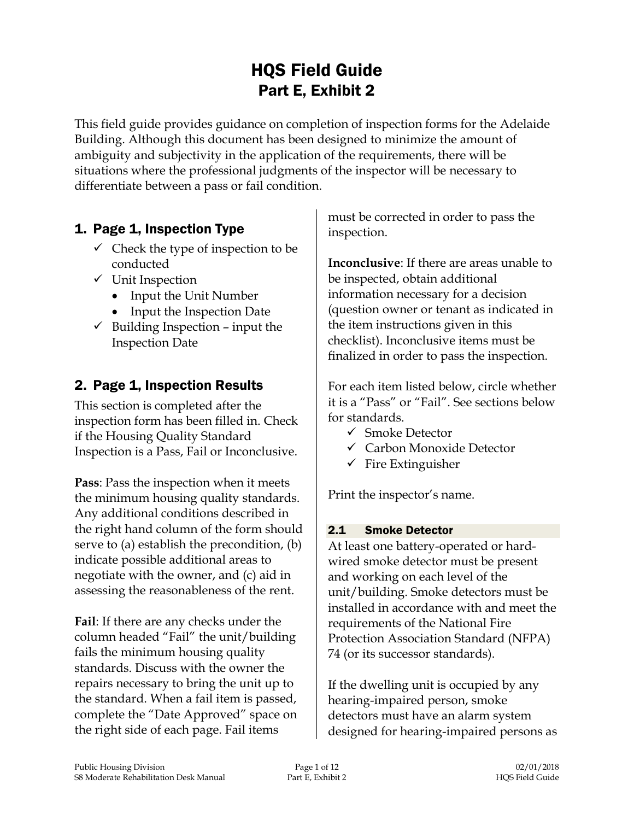# HQS Field Guide Part E, Exhibit 2

This field guide provides guidance on completion of inspection forms for the Adelaide Building. Although this document has been designed to minimize the amount of ambiguity and subjectivity in the application of the requirements, there will be situations where the professional judgments of the inspector will be necessary to differentiate between a pass or fail condition.

# 1. Page 1, Inspection Type

- $\checkmark$  Check the type of inspection to be conducted
- $\checkmark$  Unit Inspection
	- Input the Unit Number
	- Input the Inspection Date
- $\checkmark$  Building Inspection input the Inspection Date

# 2. Page 1, Inspection Results

This section is completed after the inspection form has been filled in. Check if the Housing Quality Standard Inspection is a Pass, Fail or Inconclusive.

**Pass**: Pass the inspection when it meets the minimum housing quality standards. Any additional conditions described in the right hand column of the form should serve to (a) establish the precondition, (b) indicate possible additional areas to negotiate with the owner, and (c) aid in assessing the reasonableness of the rent.

**Fail**: If there are any checks under the column headed "Fail" the unit/building fails the minimum housing quality standards. Discuss with the owner the repairs necessary to bring the unit up to the standard. When a fail item is passed, complete the "Date Approved" space on the right side of each page. Fail items

must be corrected in order to pass the inspection.

**Inconclusive**: If there are areas unable to be inspected, obtain additional information necessary for a decision (question owner or tenant as indicated in the item instructions given in this checklist). Inconclusive items must be finalized in order to pass the inspection.

For each item listed below, circle whether it is a "Pass" or "Fail". See sections below for standards.

- $\checkmark$  Smoke Detector
- Carbon Monoxide Detector
- $\checkmark$  Fire Extinguisher

Print the inspector's name.

## 2.1 Smoke Detector

At least one battery-operated or hardwired smoke detector must be present and working on each level of the unit/building. Smoke detectors must be installed in accordance with and meet the requirements of the National Fire Protection Association Standard (NFPA) 74 (or its successor standards).

If the dwelling unit is occupied by any hearing-impaired person, smoke detectors must have an alarm system designed for hearing-impaired persons as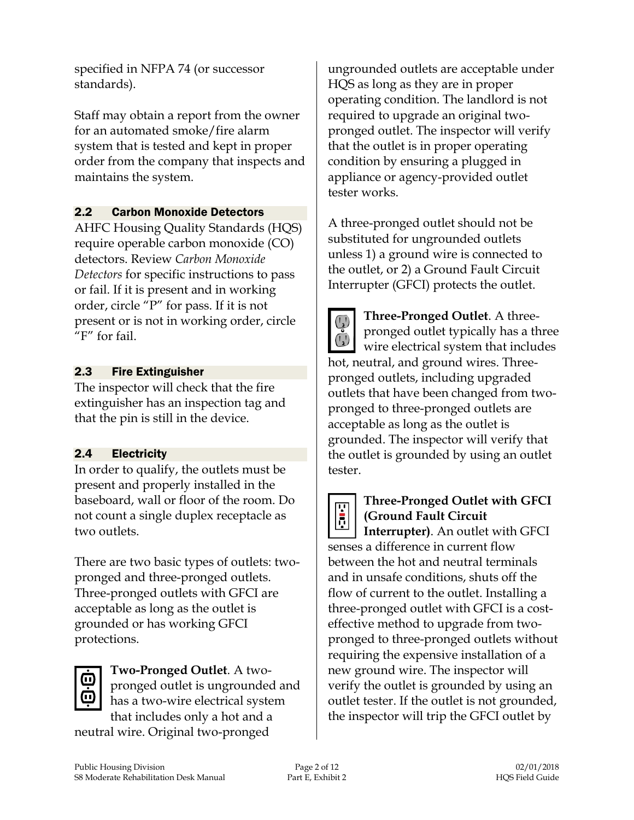specified in NFPA 74 (or successor standards).

Staff may obtain a report from the owner for an automated smoke/fire alarm system that is tested and kept in proper order from the company that inspects and maintains the system.

### 2.2 Carbon Monoxide Detectors

AHFC Housing Quality Standards (HQS) require operable carbon monoxide (CO) detectors. Review *Carbon Monoxide Detectors* for specific instructions to pass or fail. If it is present and in working order, circle "P" for pass. If it is not present or is not in working order, circle "F" for fail.

### 2.3 Fire Extinguisher

The inspector will check that the fire extinguisher has an inspection tag and that the pin is still in the device.

#### 2.4 Electricity

In order to qualify, the outlets must be present and properly installed in the baseboard, wall or floor of the room. Do not count a single duplex receptacle as two outlets.

There are two basic types of outlets: twopronged and three-pronged outlets. Three-pronged outlets with GFCI are acceptable as long as the outlet is grounded or has working GFCI protections.



**Two-Pronged Outlet**. A twopronged outlet is ungrounded and has a two-wire electrical system that includes only a hot and a

neutral wire. Original two-pronged

ungrounded outlets are acceptable under HQS as long as they are in proper operating condition. The landlord is not required to upgrade an original twopronged outlet. The inspector will verify that the outlet is in proper operating condition by ensuring a plugged in appliance or agency-provided outlet tester works.

A three-pronged outlet should not be substituted for ungrounded outlets unless 1) a ground wire is connected to the outlet, or 2) a Ground Fault Circuit Interrupter (GFCI) protects the outlet.

**Three-Pronged Outlet**. A threepronged outlet typically has a three wire electrical system that includes hot, neutral, and ground wires. Threepronged outlets, including upgraded outlets that have been changed from twopronged to three-pronged outlets are acceptable as long as the outlet is grounded. The inspector will verify that the outlet is grounded by using an outlet tester.



## **Three-Pronged Outlet with GFCI (Ground Fault Circuit**

**Interrupter)**. An outlet with GFCI senses a difference in current flow between the hot and neutral terminals and in unsafe conditions, shuts off the flow of current to the outlet. Installing a three-pronged outlet with GFCI is a costeffective method to upgrade from twopronged to three-pronged outlets without requiring the expensive installation of a new ground wire. The inspector will verify the outlet is grounded by using an outlet tester. If the outlet is not grounded, the inspector will trip the GFCI outlet by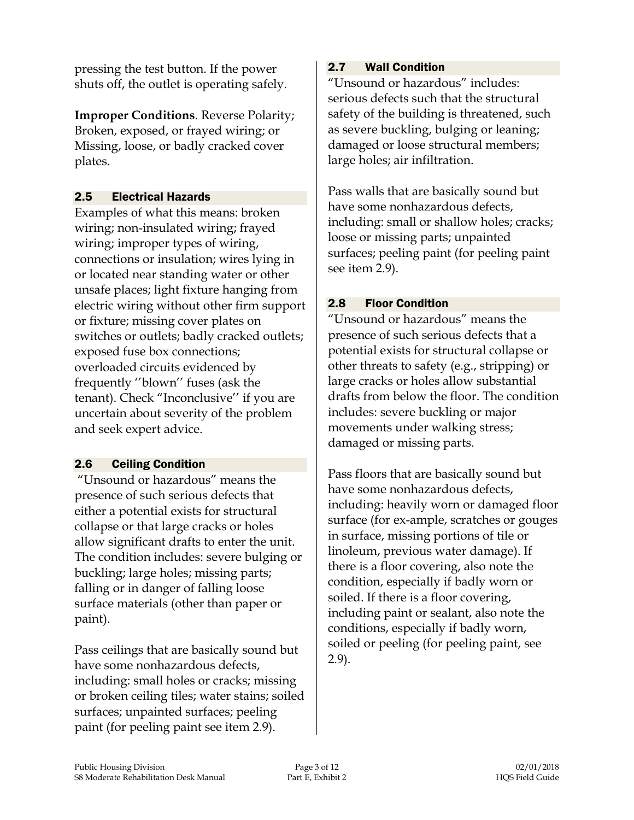pressing the test button. If the power shuts off, the outlet is operating safely.

**Improper Conditions**. Reverse Polarity; Broken, exposed, or frayed wiring; or Missing, loose, or badly cracked cover plates.

## 2.5 Electrical Hazards

Examples of what this means: broken wiring; non-insulated wiring; frayed wiring; improper types of wiring, connections or insulation; wires lying in or located near standing water or other unsafe places; light fixture hanging from electric wiring without other firm support or fixture; missing cover plates on switches or outlets; badly cracked outlets; exposed fuse box connections; overloaded circuits evidenced by frequently ''blown'' fuses (ask the tenant). Check "Inconclusive'' if you are uncertain about severity of the problem and seek expert advice.

#### 2.6 Ceiling Condition

"Unsound or hazardous" means the presence of such serious defects that either a potential exists for structural collapse or that large cracks or holes allow significant drafts to enter the unit. The condition includes: severe bulging or buckling; large holes; missing parts; falling or in danger of falling loose surface materials (other than paper or paint).

Pass ceilings that are basically sound but have some nonhazardous defects, including: small holes or cracks; missing or broken ceiling tiles; water stains; soiled surfaces; unpainted surfaces; peeling paint (for peeling paint see item 2.9).

## 2.7 Wall Condition

"Unsound or hazardous" includes: serious defects such that the structural safety of the building is threatened, such as severe buckling, bulging or leaning; damaged or loose structural members; large holes; air infiltration.

Pass walls that are basically sound but have some nonhazardous defects, including: small or shallow holes; cracks; loose or missing parts; unpainted surfaces; peeling paint (for peeling paint see item 2.9).

### 2.8 Floor Condition

"Unsound or hazardous" means the presence of such serious defects that a potential exists for structural collapse or other threats to safety (e.g., stripping) or large cracks or holes allow substantial drafts from below the floor. The condition includes: severe buckling or major movements under walking stress; damaged or missing parts.

Pass floors that are basically sound but have some nonhazardous defects, including: heavily worn or damaged floor surface (for ex-ample, scratches or gouges in surface, missing portions of tile or linoleum, previous water damage). If there is a floor covering, also note the condition, especially if badly worn or soiled. If there is a floor covering, including paint or sealant, also note the conditions, especially if badly worn, soiled or peeling (for peeling paint, see 2.9).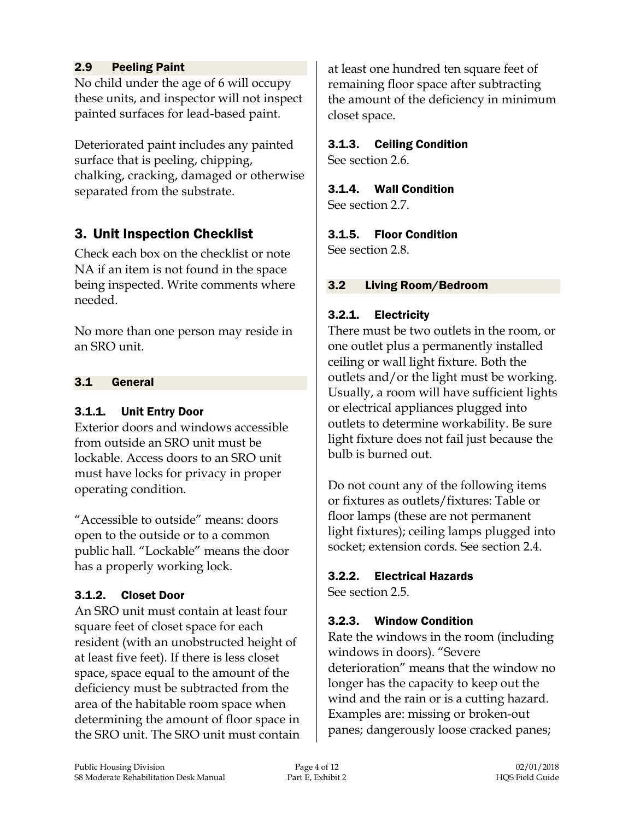## 2.9 Peeling Paint

No child under the age of 6 will occupy these units, and inspector will not inspect painted surfaces for lead-based paint.

Deteriorated paint includes any painted surface that is peeling, chipping, chalking, cracking, damaged or otherwise separated from the substrate.

## 3. Unit Inspection Checklist

Check each box on the checklist or note NA if an item is not found in the space being inspected. Write comments where needed.

No more than one person may reside in an SRO unit.

#### 3.1 General

#### 3.1.1. Unit Entry Door

Exterior doors and windows accessible from outside an SRO unit must be lockable. Access doors to an SRO unit must have locks for privacy in proper operating condition.

"Accessible to outside" means: doors open to the outside or to a common public hall. "Lockable" means the door has a properly working lock.

## 3.1.2. Closet Door

An SRO unit must contain at least four square feet of closet space for each resident (with an unobstructed height of at least five feet). If there is less closet space, space equal to the amount of the deficiency must be subtracted from the area of the habitable room space when determining the amount of floor space in the SRO unit. The SRO unit must contain

at least one hundred ten square feet of remaining floor space after subtracting the amount of the deficiency in minimum closet space.

#### 3.1.3. Ceiling Condition

See section 2.6.

## 3.1.4. Wall Condition

See section 2.7.

### 3.1.5. Floor Condition

See section 2.8.

### 3.2 Living Room/Bedroom

### 3.2.1. Electricity

There must be two outlets in the room, or one outlet plus a permanently installed ceiling or wall light fixture. Both the outlets and/or the light must be working. Usually, a room will have sufficient lights or electrical appliances plugged into outlets to determine workability. Be sure light fixture does not fail just because the bulb is burned out.

Do not count any of the following items or fixtures as outlets/fixtures: Table or floor lamps (these are not permanent light fixtures); ceiling lamps plugged into socket; extension cords. See section 2.4.

## 3.2.2. Electrical Hazards

See section 2.5.

#### 3.2.3. Window Condition

Rate the windows in the room (including windows in doors). "Severe deterioration" means that the window no longer has the capacity to keep out the wind and the rain or is a cutting hazard. Examples are: missing or broken-out panes; dangerously loose cracked panes;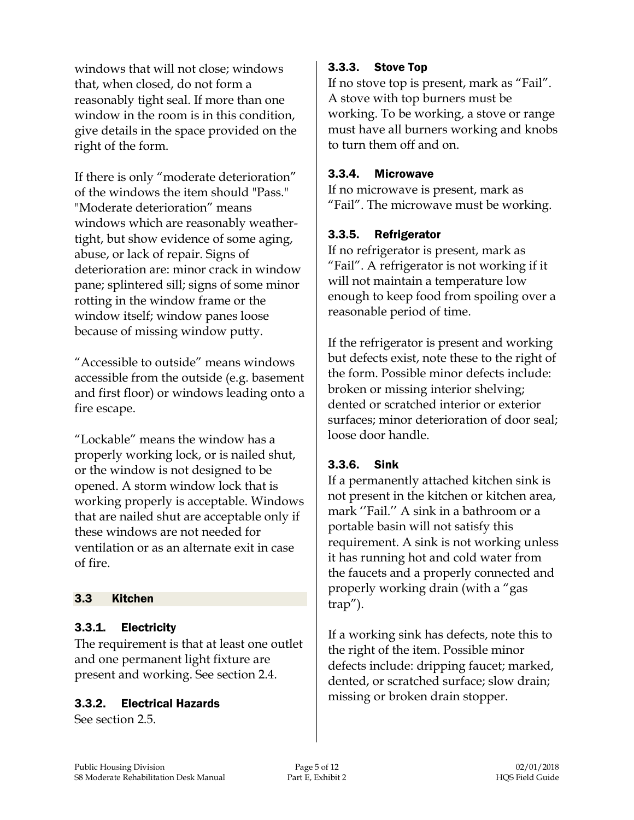windows that will not close; windows that, when closed, do not form a reasonably tight seal. If more than one window in the room is in this condition, give details in the space provided on the right of the form.

If there is only "moderate deterioration" of the windows the item should "Pass." "Moderate deterioration" means windows which are reasonably weathertight, but show evidence of some aging, abuse, or lack of repair. Signs of deterioration are: minor crack in window pane; splintered sill; signs of some minor rotting in the window frame or the window itself; window panes loose because of missing window putty.

"Accessible to outside" means windows accessible from the outside (e.g. basement and first floor) or windows leading onto a fire escape.

"Lockable" means the window has a properly working lock, or is nailed shut, or the window is not designed to be opened. A storm window lock that is working properly is acceptable. Windows that are nailed shut are acceptable only if these windows are not needed for ventilation or as an alternate exit in case of fire.

#### 3.3 Kitchen

#### 3.3.1. Electricity

The requirement is that at least one outlet and one permanent light fixture are present and working. See section 2.4.

## 3.3.2. Electrical Hazards

See section 2.5.

## 3.3.3. Stove Top

If no stove top is present, mark as "Fail". A stove with top burners must be working. To be working, a stove or range must have all burners working and knobs to turn them off and on.

#### 3.3.4. Microwave

If no microwave is present, mark as "Fail". The microwave must be working.

## 3.3.5. Refrigerator

If no refrigerator is present, mark as "Fail". A refrigerator is not working if it will not maintain a temperature low enough to keep food from spoiling over a reasonable period of time.

If the refrigerator is present and working but defects exist, note these to the right of the form. Possible minor defects include: broken or missing interior shelving; dented or scratched interior or exterior surfaces; minor deterioration of door seal; loose door handle.

## 3.3.6. Sink

If a permanently attached kitchen sink is not present in the kitchen or kitchen area, mark ''Fail.'' A sink in a bathroom or a portable basin will not satisfy this requirement. A sink is not working unless it has running hot and cold water from the faucets and a properly connected and properly working drain (with a "gas trap").

If a working sink has defects, note this to the right of the item. Possible minor defects include: dripping faucet; marked, dented, or scratched surface; slow drain; missing or broken drain stopper.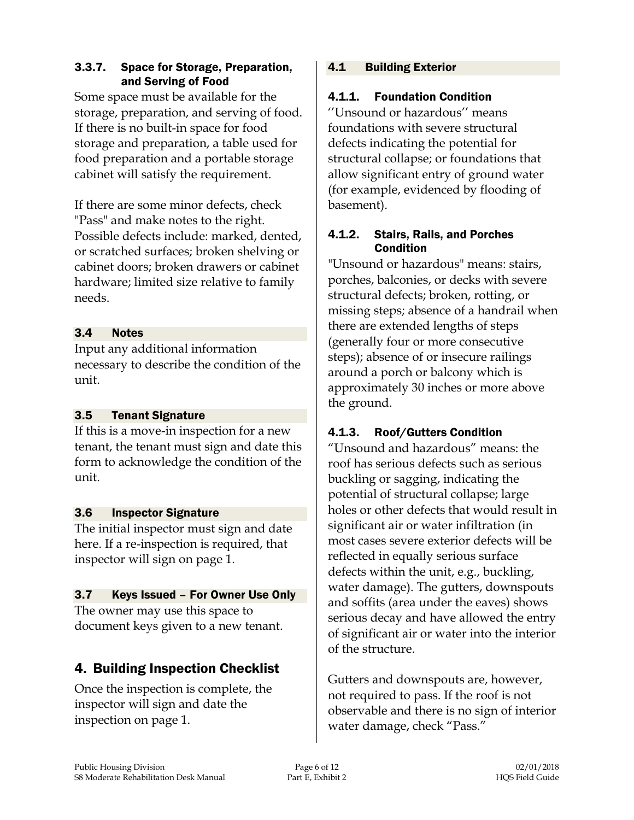#### 3.3.7. Space for Storage, Preparation, and Serving of Food

Some space must be available for the storage, preparation, and serving of food. If there is no built-in space for food storage and preparation, a table used for food preparation and a portable storage cabinet will satisfy the requirement.

If there are some minor defects, check "Pass" and make notes to the right. Possible defects include: marked, dented, or scratched surfaces; broken shelving or cabinet doors; broken drawers or cabinet hardware; limited size relative to family needs.

### 3.4 Notes

Input any additional information necessary to describe the condition of the unit.

## 3.5 Tenant Signature

If this is a move-in inspection for a new tenant, the tenant must sign and date this form to acknowledge the condition of the unit.

#### 3.6 Inspector Signature

The initial inspector must sign and date here. If a re-inspection is required, that inspector will sign on page 1.

#### 3.7 Keys Issued – For Owner Use Only

The owner may use this space to document keys given to a new tenant.

# 4. Building Inspection Checklist

Once the inspection is complete, the inspector will sign and date the inspection on page 1.

#### 4.1 Building Exterior

## 4.1.1. Foundation Condition

''Unsound or hazardous'' means foundations with severe structural defects indicating the potential for structural collapse; or foundations that allow significant entry of ground water (for example, evidenced by flooding of basement).

### 4.1.2. Stairs, Rails, and Porches Condition

"Unsound or hazardous" means: stairs, porches, balconies, or decks with severe structural defects; broken, rotting, or missing steps; absence of a handrail when there are extended lengths of steps (generally four or more consecutive steps); absence of or insecure railings around a porch or balcony which is approximately 30 inches or more above the ground.

## 4.1.3. Roof/Gutters Condition

"Unsound and hazardous" means: the roof has serious defects such as serious buckling or sagging, indicating the potential of structural collapse; large holes or other defects that would result in significant air or water infiltration (in most cases severe exterior defects will be reflected in equally serious surface defects within the unit, e.g., buckling, water damage). The gutters, downspouts and soffits (area under the eaves) shows serious decay and have allowed the entry of significant air or water into the interior of the structure.

Gutters and downspouts are, however, not required to pass. If the roof is not observable and there is no sign of interior water damage, check "Pass."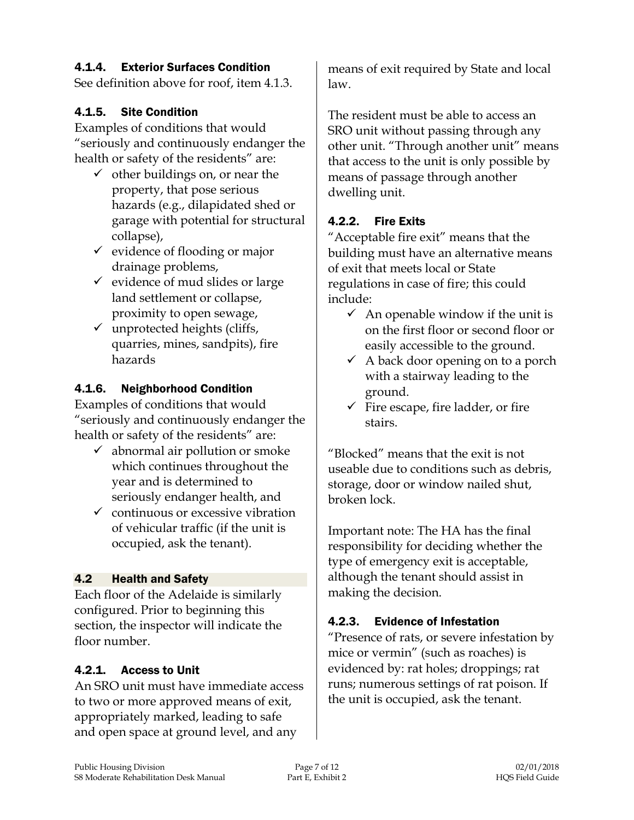## 4.1.4. Exterior Surfaces Condition

See definition above for roof, item 4.1.3.

## 4.1.5. Site Condition

Examples of conditions that would "seriously and continuously endanger the health or safety of the residents" are:

- $\checkmark$  other buildings on, or near the property, that pose serious hazards (e.g., dilapidated shed or garage with potential for structural collapse),
- $\checkmark$  evidence of flooding or major drainage problems,
- $\checkmark$  evidence of mud slides or large land settlement or collapse, proximity to open sewage,
- $\checkmark$  unprotected heights (cliffs, quarries, mines, sandpits), fire hazards

## 4.1.6. Neighborhood Condition

Examples of conditions that would "seriously and continuously endanger the health or safety of the residents" are:

- $\checkmark$  abnormal air pollution or smoke which continues throughout the year and is determined to seriously endanger health, and
- $\checkmark$  continuous or excessive vibration of vehicular traffic (if the unit is occupied, ask the tenant).

## 4.2 Health and Safety

Each floor of the Adelaide is similarly configured. Prior to beginning this section, the inspector will indicate the floor number.

## 4.2.1. Access to Unit

An SRO unit must have immediate access to two or more approved means of exit, appropriately marked, leading to safe and open space at ground level, and any

means of exit required by State and local law.

The resident must be able to access an SRO unit without passing through any other unit. "Through another unit" means that access to the unit is only possible by means of passage through another dwelling unit.

## 4.2.2. Fire Exits

"Acceptable fire exit" means that the building must have an alternative means of exit that meets local or State regulations in case of fire; this could include:

- $\checkmark$  An openable window if the unit is on the first floor or second floor or easily accessible to the ground.
- $\checkmark$  A back door opening on to a porch with a stairway leading to the ground.
- $\checkmark$  Fire escape, fire ladder, or fire stairs.

"Blocked" means that the exit is not useable due to conditions such as debris, storage, door or window nailed shut, broken lock.

Important note: The HA has the final responsibility for deciding whether the type of emergency exit is acceptable, although the tenant should assist in making the decision.

## 4.2.3. Evidence of Infestation

"Presence of rats, or severe infestation by mice or vermin" (such as roaches) is evidenced by: rat holes; droppings; rat runs; numerous settings of rat poison. If the unit is occupied, ask the tenant.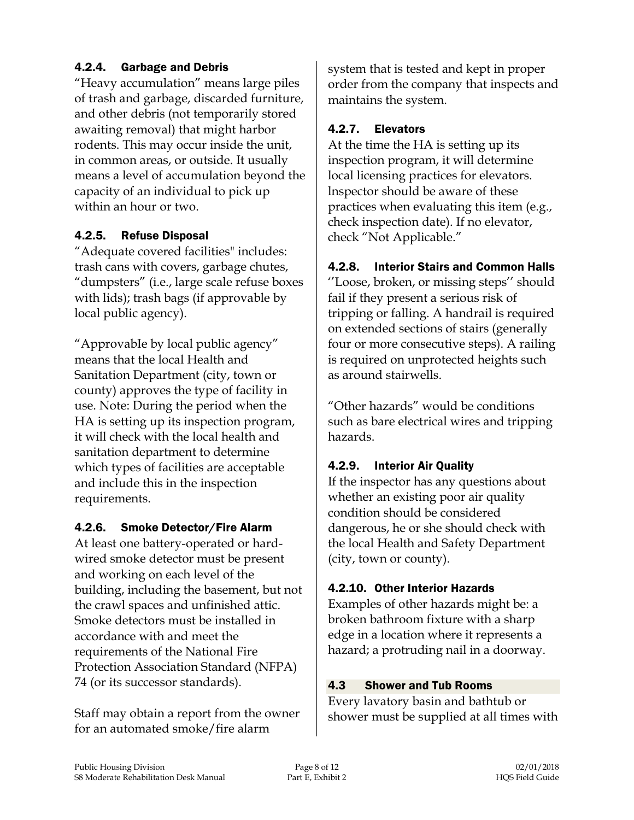## 4.2.4. Garbage and Debris

"Heavy accumulation" means large piles of trash and garbage, discarded furniture, and other debris (not temporarily stored awaiting removal) that might harbor rodents. This may occur inside the unit, in common areas, or outside. It usually means a level of accumulation beyond the capacity of an individual to pick up within an hour or two.

## 4.2.5. Refuse Disposal

"Adequate covered facilities" includes: trash cans with covers, garbage chutes, "dumpsters" (i.e., large scale refuse boxes with lids); trash bags (if approvable by local public agency).

"ApprovabIe by local public agency" means that the local Health and Sanitation Department (city, town or county) approves the type of facility in use. Note: During the period when the HA is setting up its inspection program, it will check with the local health and sanitation department to determine which types of facilities are acceptable and include this in the inspection requirements.

## 4.2.6. Smoke Detector/Fire Alarm

At least one battery-operated or hardwired smoke detector must be present and working on each level of the building, including the basement, but not the crawl spaces and unfinished attic. Smoke detectors must be installed in accordance with and meet the requirements of the National Fire Protection Association Standard (NFPA) 74 (or its successor standards).

Staff may obtain a report from the owner for an automated smoke/fire alarm

system that is tested and kept in proper order from the company that inspects and maintains the system.

## 4.2.7. Elevators

At the time the HA is setting up its inspection program, it will determine local licensing practices for elevators. lnspector should be aware of these practices when evaluating this item (e.g., check inspection date). If no elevator, check "Not Applicable."

## 4.2.8. Interior Stairs and Common Halls

''Loose, broken, or missing steps'' should fail if they present a serious risk of tripping or falling. A handrail is required on extended sections of stairs (generally four or more consecutive steps). A railing is required on unprotected heights such as around stairwells.

"Other hazards" would be conditions such as bare electrical wires and tripping hazards.

## 4.2.9. Interior Air Quality

If the inspector has any questions about whether an existing poor air quality condition should be considered dangerous, he or she should check with the local Health and Safety Department (city, town or county).

## 4.2.10. Other Interior Hazards

Examples of other hazards might be: a broken bathroom fixture with a sharp edge in a location where it represents a hazard; a protruding nail in a doorway.

## 4.3 Shower and Tub Rooms

Every lavatory basin and bathtub or shower must be supplied at all times with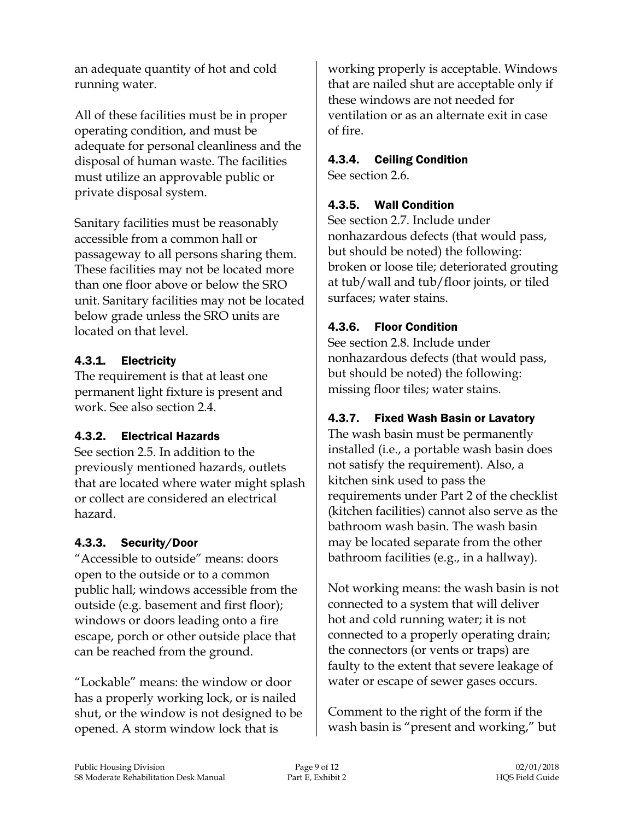an adequate quantity of hot and cold running water.

All of these facilities must be in proper operating condition, and must be adequate for personal cleanliness and the disposal of human waste. The facilities must utilize an approvable public or private disposal system.

Sanitary facilities must be reasonably accessible from a common hall or passageway to all persons sharing them. These facilities may not be located more than one floor above or below the SRO unit. Sanitary facilities may not be located below grade unless the SRO units are located on that level.

## 4.3.1. Electricity

The requirement is that at least one permanent light fixture is present and work. See also section 2.4.

## 4.3.2. Electrical Hazards

See section 2.5. In addition to the previously mentioned hazards, outlets that are located where water might splash or collect are considered an electrical hazard.

## 4.3.3. Security/Door

"Accessible to outside" means: doors open to the outside or to a common public hall; windows accessible from the outside (e.g. basement and first floor); windows or doors leading onto a fire escape, porch or other outside place that can be reached from the ground.

"Lockable" means: the window or door has a properly working lock, or is nailed shut, or the window is not designed to be opened. A storm window lock that is

working properly is acceptable. Windows that are nailed shut are acceptable only if these windows are not needed for ventilation or as an alternate exit in case of fire.

## 4.3.4. Ceiling Condition

See section 2.6.

## 4.3.5. Wall Condition

See section 2.7. Include under nonhazardous defects (that would pass, but should be noted) the following: broken or loose tile; deteriorated grouting at tub/wall and tub/floor joints, or tiled surfaces; water stains.

## 4.3.6. Floor Condition

See section 2.8. Include under nonhazardous defects (that would pass, but should be noted) the following: missing floor tiles; water stains.

## 4.3.7. Fixed Wash Basin or Lavatory

The wash basin must be permanently installed (i.e., a portable wash basin does not satisfy the requirement). Also, a kitchen sink used to pass the requirements under Part 2 of the checklist (kitchen facilities) cannot also serve as the bathroom wash basin. The wash basin may be located separate from the other bathroom facilities (e.g., in a hallway).

Not working means: the wash basin is not connected to a system that will deliver hot and cold running water; it is not connected to a properly operating drain; the connectors (or vents or traps) are faulty to the extent that severe leakage of water or escape of sewer gases occurs.

Comment to the right of the form if the wash basin is "present and working," but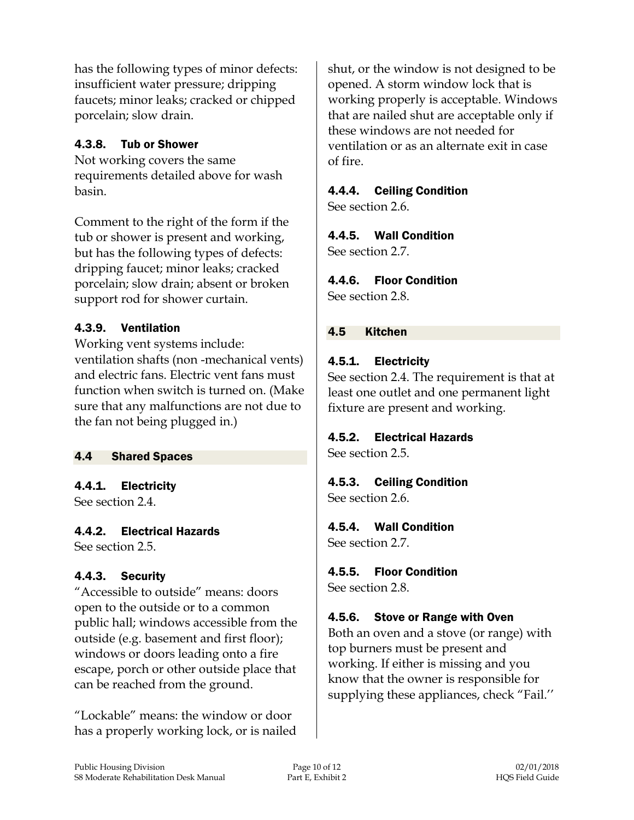has the following types of minor defects: insufficient water pressure; dripping faucets; minor leaks; cracked or chipped porcelain; slow drain.

## 4.3.8. Tub or Shower

Not working covers the same requirements detailed above for wash basin.

Comment to the right of the form if the tub or shower is present and working, but has the following types of defects: dripping faucet; minor leaks; cracked porcelain; slow drain; absent or broken support rod for shower curtain.

## 4.3.9. Ventilation

Working vent systems include: ventilation shafts (non -mechanical vents) and electric fans. Electric vent fans must function when switch is turned on. (Make sure that any malfunctions are not due to the fan not being plugged in.)

## 4.4 Shared Spaces

## 4.4.1. Electricity

See section 2.4.

## 4.4.2. Electrical Hazards

See section 2.5.

## 4.4.3. Security

"Accessible to outside" means: doors open to the outside or to a common public hall; windows accessible from the outside (e.g. basement and first floor); windows or doors leading onto a fire escape, porch or other outside place that can be reached from the ground.

"Lockable" means: the window or door has a properly working lock, or is nailed

shut, or the window is not designed to be opened. A storm window lock that is working properly is acceptable. Windows that are nailed shut are acceptable only if these windows are not needed for ventilation or as an alternate exit in case of fire.

# 4.4.4. Ceiling Condition

See section 2.6.

## 4.4.5. Wall Condition

See section 2.7.

### 4.4.6. Floor Condition

See section 2.8.

### 4.5 Kitchen

## 4.5.1. Electricity

See section 2.4. The requirement is that at least one outlet and one permanent light fixture are present and working.

## 4.5.2. Electrical Hazards

See section 2.5.

## 4.5.3. Ceiling Condition

See section 2.6.

## 4.5.4. Wall Condition

See section 2.7.

## 4.5.5. Floor Condition

See section 2.8.

## 4.5.6. Stove or Range with Oven

Both an oven and a stove (or range) with top burners must be present and working. If either is missing and you know that the owner is responsible for supplying these appliances, check "Fail.''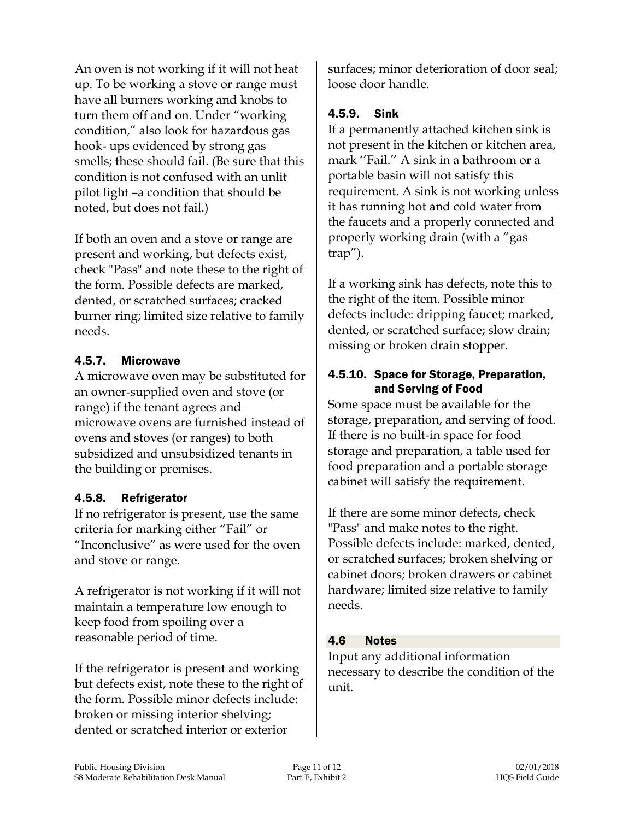An oven is not working if it will not heat up. To be working a stove or range must have all burners working and knobs to turn them off and on. Under "working condition," also look for hazardous gas hook- ups evidenced by strong gas smells; these should fail. (Be sure that this condition is not confused with an unlit pilot light –a condition that should be noted, but does not fail.)

If both an oven and a stove or range are present and working, but defects exist, check "Pass" and note these to the right of the form. Possible defects are marked, dented, or scratched surfaces; cracked burner ring; limited size relative to family needs.

## 4.5.7. Microwave

A microwave oven may be substituted for an owner-supplied oven and stove (or range) if the tenant agrees and microwave ovens are furnished instead of ovens and stoves (or ranges) to both subsidized and unsubsidized tenants in the building or premises.

## 4.5.8. Refrigerator

If no refrigerator is present, use the same criteria for marking either "Fail" or "Inconclusive" as were used for the oven and stove or range.

A refrigerator is not working if it will not maintain a temperature low enough to keep food from spoiling over a reasonable period of time.

If the refrigerator is present and working but defects exist, note these to the right of the form. Possible minor defects include: broken or missing interior shelving; dented or scratched interior or exterior

surfaces; minor deterioration of door seal; loose door handle.

## 4.5.9. Sink

If a permanently attached kitchen sink is not present in the kitchen or kitchen area, mark ''Fail.'' A sink in a bathroom or a portable basin will not satisfy this requirement. A sink is not working unless it has running hot and cold water from the faucets and a properly connected and properly working drain (with a "gas trap").

If a working sink has defects, note this to the right of the item. Possible minor defects include: dripping faucet; marked, dented, or scratched surface; slow drain; missing or broken drain stopper.

## 4.5.10. Space for Storage, Preparation, and Serving of Food

Some space must be available for the storage, preparation, and serving of food. If there is no built-in space for food storage and preparation, a table used for food preparation and a portable storage cabinet will satisfy the requirement.

If there are some minor defects, check "Pass" and make notes to the right. Possible defects include: marked, dented, or scratched surfaces; broken shelving or cabinet doors; broken drawers or cabinet hardware; limited size relative to family needs.

## 4.6 Notes

Input any additional information necessary to describe the condition of the unit.